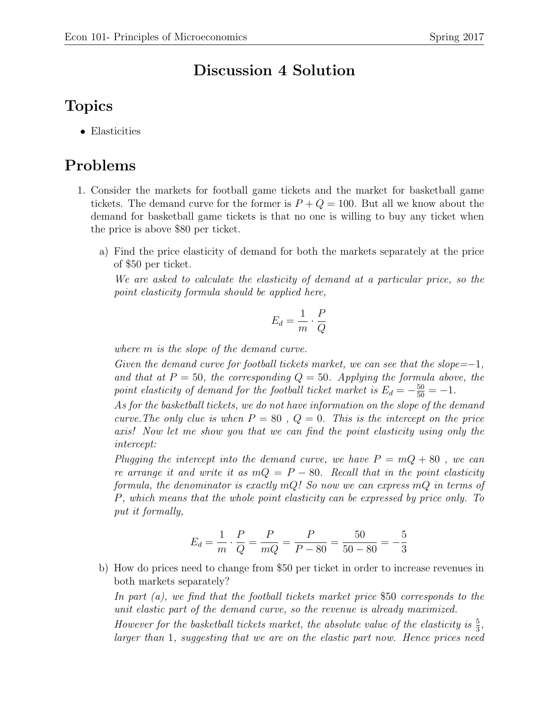## Discussion 4 Solution

## Topics

• Elasticities

## Problems

- 1. Consider the markets for football game tickets and the market for basketball game tickets. The demand curve for the former is  $P + Q = 100$ . But all we know about the demand for basketball game tickets is that no one is willing to buy any ticket when the price is above \$80 per ticket.
	- a) Find the price elasticity of demand for both the markets separately at the price of \$50 per ticket.

We are asked to calculate the elasticity of demand at a particular price, so the point elasticity formula should be applied here,

$$
E_d = \frac{1}{m} \cdot \frac{P}{Q}
$$

where m is the slope of the demand curve.

Given the demand curve for football tickets market, we can see that the slope=−1, and that at  $P = 50$ , the corresponding  $Q = 50$ . Applying the formula above, the point elasticity of demand for the football ticket market is  $E_d = -\frac{50}{50} = -1$ .

As for the basketball tickets, we do not have information on the slope of the demand curve. The only clue is when  $P = 80$ ,  $Q = 0$ . This is the intercept on the price axis! Now let me show you that we can find the point elasticity using only the intercept:

Plugging the intercept into the demand curve, we have  $P = mQ + 80$ , we can re arrange it and write it as  $mQ = P - 80$ . Recall that in the point elasticity formula, the denominator is exactly  $mQ$ ! So now we can express  $mQ$  in terms of P, which means that the whole point elasticity can be expressed by price only. To put it formally,

$$
E_d = \frac{1}{m} \cdot \frac{P}{Q} = \frac{P}{mQ} = \frac{P}{P - 80} = \frac{50}{50 - 80} = -\frac{5}{3}
$$

b) How do prices need to change from \$50 per ticket in order to increase revenues in both markets separately?

In part (a), we find that the football tickets market price \$50 corresponds to the unit elastic part of the demand curve, so the revenue is already maximized.

However for the basketball tickets market, the absolute value of the elasticity is  $\frac{5}{3}$ , larger than 1, suggesting that we are on the elastic part now. Hence prices need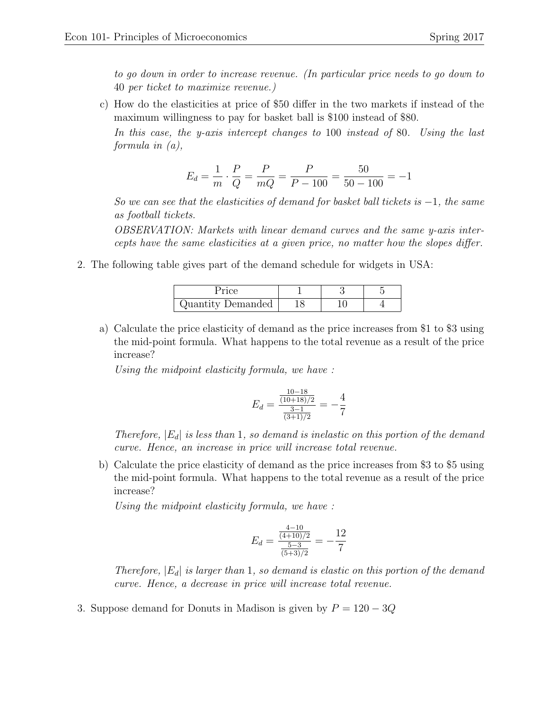to go down in order to increase revenue. (In particular price needs to go down to 40 per ticket to maximize revenue.)

c) How do the elasticities at price of \$50 differ in the two markets if instead of the maximum willingness to pay for basket ball is \$100 instead of \$80.

In this case, the y-axis intercept changes to 100 instead of 80. Using the last formula in (a),

$$
E_d = \frac{1}{m} \cdot \frac{P}{Q} = \frac{P}{mQ} = \frac{P}{P - 100} = \frac{50}{50 - 100} = -1
$$

So we can see that the elasticities of demand for basket ball tickets is  $-1$ , the same as football tickets.

OBSERVATION: Markets with linear demand curves and the same y-axis intercepts have the same elasticities at a given price, no matter how the slopes differ.

2. The following table gives part of the demand schedule for widgets in USA:

| Quantity Demanded |  |  |
|-------------------|--|--|

a) Calculate the price elasticity of demand as the price increases from \$1 to \$3 using the mid-point formula. What happens to the total revenue as a result of the price increase?

Using the midpoint elasticity formula, we have :

$$
E_d = \frac{\frac{10 - 18}{(10 + 18)/2}}{\frac{3 - 1}{(3 + 1)/2}} = -\frac{4}{7}
$$

Therefore,  $|E_d|$  is less than 1, so demand is inelastic on this portion of the demand curve. Hence, an increase in price will increase total revenue.

b) Calculate the price elasticity of demand as the price increases from \$3 to \$5 using the mid-point formula. What happens to the total revenue as a result of the price increase?

Using the midpoint elasticity formula, we have :

$$
E_d = \frac{\frac{4-10}{(4+10)/2}}{\frac{5-3}{(5+3)/2}} = -\frac{12}{7}
$$

Therefore,  $|E_d|$  is larger than 1, so demand is elastic on this portion of the demand curve. Hence, a decrease in price will increase total revenue.

3. Suppose demand for Donuts in Madison is given by  $P = 120 - 3Q$